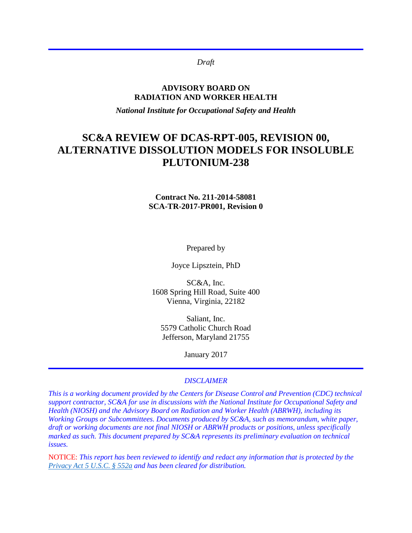*Draft*

#### **ADVISORY BOARD ON RADIATION AND WORKER HEALTH**

*National Institute for Occupational Safety and Health*

# **SC&A REVIEW OF DCAS-RPT-005, REVISION 00, ALTERNATIVE DISSOLUTION MODELS FOR INSOLUBLE PLUTONIUM-238**

### **Contract No. 211-2014-58081 SCA-TR-2017-PR001, Revision 0**

Prepared by

Joyce Lipsztein, PhD

SC&A, Inc. 1608 Spring Hill Road, Suite 400 Vienna, Virginia, 22182

Saliant, Inc. 5579 Catholic Church Road Jefferson, Maryland 21755

January 2017

#### *DISCLAIMER*

*This is a working document provided by the Centers for Disease Control and Prevention (CDC) technical support contractor, SC&A for use in discussions with the National Institute for Occupational Safety and Health (NIOSH) and the Advisory Board on Radiation and Worker Health (ABRWH), including its Working Groups or Subcommittees. Documents produced by SC&A, such as memorandum, white paper, draft or working documents are not final NIOSH or ABRWH products or positions, unless specifically marked as such. This document prepared by SC&A represents its preliminary evaluation on technical issues.*

NOTICE: *This report has been reviewed to identify and redact any information that is protected by the [Privacy Act 5 U.S.C. § 552a](http://www.justice.gov/opcl/privacy-act-1974) and has been cleared for distribution.*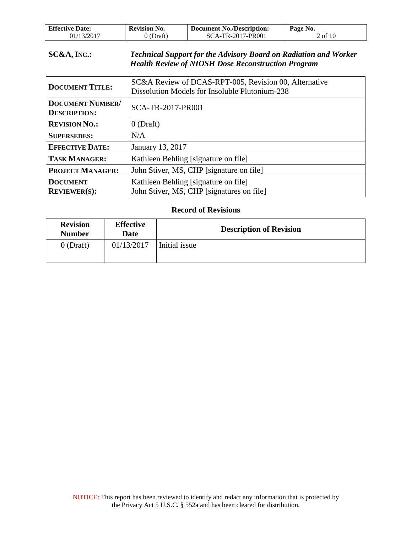| <b>Effective Date:</b> | <b>Revision No.</b> | <b>Document No./Description:</b> | Page No. |
|------------------------|---------------------|----------------------------------|----------|
| 01/13/2017             | (Draft)             | SCA-TR-2017-PR001                | 2 of 10  |

### **SC&A, INC.:** *Technical Support for the Advisory Board on Radiation and Worker Health Review of NIOSH Dose Reconstruction Program*

| <b>DOCUMENT TITLE:</b>                         | SC&A Review of DCAS-RPT-005, Revision 00, Alternative<br>Dissolution Models for Insoluble Plutonium-238 |  |
|------------------------------------------------|---------------------------------------------------------------------------------------------------------|--|
| <b>DOCUMENT NUMBER/</b><br><b>DESCRIPTION:</b> | SCA-TR-2017-PR001                                                                                       |  |
| <b>REVISION NO.:</b>                           | $0$ (Draft)                                                                                             |  |
| <b>SUPERSEDES:</b>                             | N/A                                                                                                     |  |
| <b>EFFECTIVE DATE:</b>                         | January 13, 2017                                                                                        |  |
| <b>TASK MANAGER:</b>                           | Kathleen Behling [signature on file]                                                                    |  |
| <b>PROJECT MANAGER:</b>                        | John Stiver, MS, CHP [signature on file]                                                                |  |
| <b>DOCUMENT</b><br><b>REVIEWER(S):</b>         | Kathleen Behling [signature on file]<br>John Stiver, MS, CHP [signatures on file]                       |  |

#### **Record of Revisions**

| <b>Revision</b><br><b>Number</b> | <b>Effective</b><br>Date | <b>Description of Revision</b> |
|----------------------------------|--------------------------|--------------------------------|
| $0$ (Draft)                      | 01/13/2017               | Initial issue                  |
|                                  |                          |                                |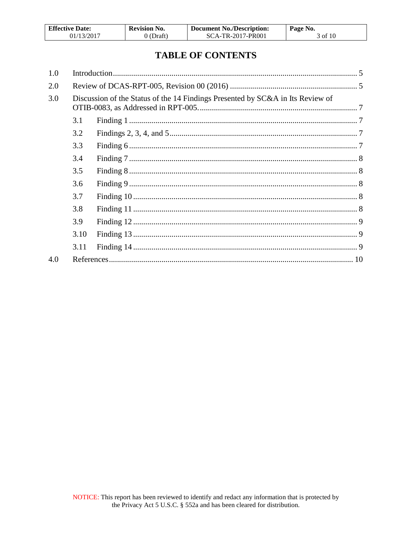| <b>Effective Date:</b> | <b>Revision No.</b> | <b>Document No./Description:</b> | Page No. |
|------------------------|---------------------|----------------------------------|----------|
| 01/13/2017             | 0 (Draft)           | SCA-TR-2017-PR001                | 3 of 10  |

# **TABLE OF CONTENTS**

| 1.0 |      |                                                                                |  |
|-----|------|--------------------------------------------------------------------------------|--|
| 2.0 |      |                                                                                |  |
| 3.0 |      | Discussion of the Status of the 14 Findings Presented by SC&A in Its Review of |  |
|     | 3.1  |                                                                                |  |
|     | 3.2  |                                                                                |  |
|     | 3.3  |                                                                                |  |
|     | 3.4  |                                                                                |  |
|     | 3.5  |                                                                                |  |
|     | 3.6  |                                                                                |  |
|     | 3.7  |                                                                                |  |
|     | 3.8  |                                                                                |  |
|     | 3.9  |                                                                                |  |
|     | 3.10 |                                                                                |  |
|     | 3.11 |                                                                                |  |
| 4.0 |      |                                                                                |  |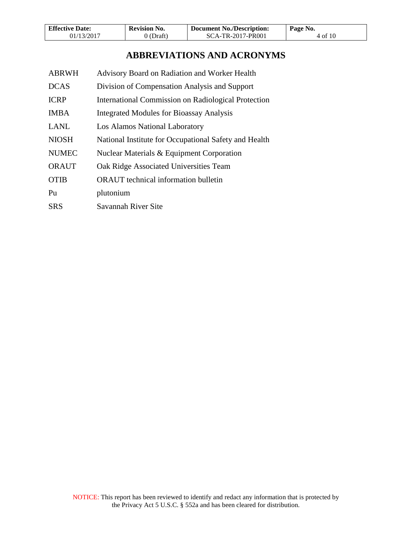| <b>Effective Date:</b> | <b>Revision No.</b> | <b>Document No./Description:</b> | Page No. |
|------------------------|---------------------|----------------------------------|----------|
| 01/13/2017             | $0$ (Draft)         | SCA-TR-2017-PR001                | 4 of 10  |

# **ABBREVIATIONS AND ACRONYMS**

| <b>ABRWH</b> | Advisory Board on Radiation and Worker Health         |
|--------------|-------------------------------------------------------|
| <b>DCAS</b>  | Division of Compensation Analysis and Support         |
| <b>ICRP</b>  | International Commission on Radiological Protection   |
| <b>IMBA</b>  | <b>Integrated Modules for Bioassay Analysis</b>       |
| <b>LANL</b>  | Los Alamos National Laboratory                        |
| <b>NIOSH</b> | National Institute for Occupational Safety and Health |
| <b>NUMEC</b> | Nuclear Materials & Equipment Corporation             |
| <b>ORAUT</b> | Oak Ridge Associated Universities Team                |
| <b>OTIB</b>  | <b>ORAUT</b> technical information bulletin           |
| Pu           | plutonium                                             |
| SRS          | Savannah River Site                                   |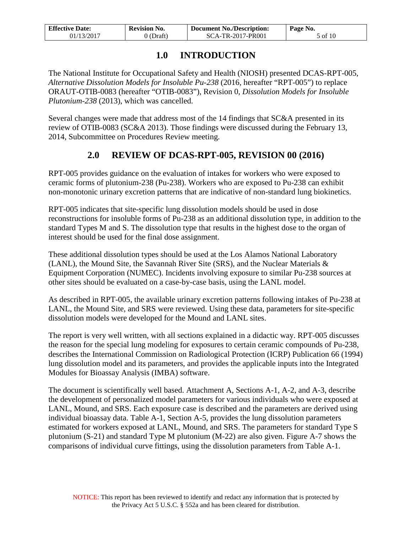| <b>Effective Date:</b> | <b>Revision No.</b> | <b>Document No./Description:</b> | Page No. |
|------------------------|---------------------|----------------------------------|----------|
| 01/13/2017             | 0 (Draft)           | SCA-TR-2017-PR001                | 5 of 10  |

## **1.0 INTRODUCTION**

<span id="page-4-0"></span>The National Institute for Occupational Safety and Health (NIOSH) presented DCAS-RPT-005, *Alternative Dissolution Models for Insoluble Pu-238* (2016, hereafter "RPT-005") to replace ORAUT-OTIB-0083 (hereafter "OTIB-0083"), Revision 0, *Dissolution Models for Insoluble Plutonium-238* (2013), which was cancelled.

Several changes were made that address most of the 14 findings that SC&A presented in its review of OTIB-0083 (SC&A 2013). Those findings were discussed during the February 13, 2014, Subcommittee on Procedures Review meeting.

# **2.0 REVIEW OF DCAS-RPT-005, REVISION 00 (2016)**

<span id="page-4-1"></span>RPT-005 provides guidance on the evaluation of intakes for workers who were exposed to ceramic forms of plutonium-238 (Pu-238). Workers who are exposed to Pu-238 can exhibit non-monotonic urinary excretion patterns that are indicative of non-standard lung biokinetics.

RPT-005 indicates that site-specific lung dissolution models should be used in dose reconstructions for insoluble forms of Pu-238 as an additional dissolution type, in addition to the standard Types M and S. The dissolution type that results in the highest dose to the organ of interest should be used for the final dose assignment.

These additional dissolution types should be used at the Los Alamos National Laboratory (LANL), the Mound Site, the Savannah River Site (SRS), and the Nuclear Materials & Equipment Corporation (NUMEC). Incidents involving exposure to similar Pu-238 sources at other sites should be evaluated on a case-by-case basis, using the LANL model.

As described in RPT-005, the available urinary excretion patterns following intakes of Pu-238 at LANL, the Mound Site, and SRS were reviewed. Using these data, parameters for site-specific dissolution models were developed for the Mound and LANL sites.

The report is very well written, with all sections explained in a didactic way. RPT-005 discusses the reason for the special lung modeling for exposures to certain ceramic compounds of Pu-238, describes the International Commission on Radiological Protection (ICRP) Publication 66 (1994) lung dissolution model and its parameters, and provides the applicable inputs into the Integrated Modules for Bioassay Analysis (IMBA) software.

The document is scientifically well based. Attachment A, Sections A-1, A-2, and A-3, describe the development of personalized model parameters for various individuals who were exposed at LANL, Mound, and SRS. Each exposure case is described and the parameters are derived using individual bioassay data. Table A-1, Section A-5, provides the lung dissolution parameters estimated for workers exposed at LANL, Mound, and SRS. The parameters for standard Type S plutonium (S-21) and standard Type M plutonium (M-22) are also given. Figure A-7 shows the comparisons of individual curve fittings, using the dissolution parameters from Table A-1.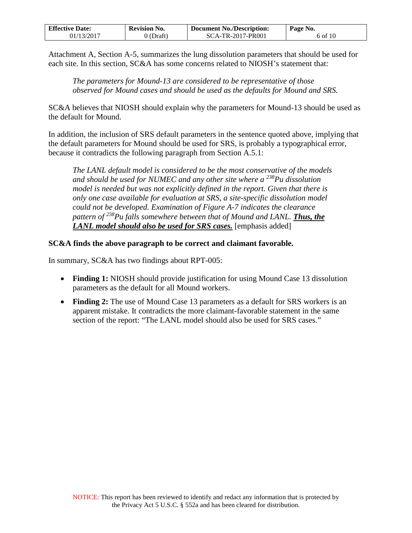| <b>Effective Date:</b> | <b>Revision No.</b> | <b>Document No./Description:</b> | Page No. |
|------------------------|---------------------|----------------------------------|----------|
| 01/13/2017             | $\partial$ (Draft)  | SCA-TR-2017-PR001                | 6 of 10  |

Attachment A, Section A-5, summarizes the lung dissolution parameters that should be used for each site. In this section, SC&A has some concerns related to NIOSH's statement that:

*The parameters for Mound-13 are considered to be representative of those observed for Mound cases and should be used as the defaults for Mound and SRS.* 

SC&A believes that NIOSH should explain why the parameters for Mound-13 should be used as the default for Mound.

In addition, the inclusion of SRS default parameters in the sentence quoted above, implying that the default parameters for Mound should be used for SRS, is probably a typographical error, because it contradicts the following paragraph from Section A.5.1:

*The LANL default model is considered to be the most conservative of the models and should be used for NUMEC and any other site where a 238Pu dissolution model is needed but was not explicitly defined in the report. Given that there is only one case available for evaluation at SRS, a site-specific dissolution model could not be developed. Examination of Figure A-7 indicates the clearance pattern of 238Pu falls somewhere between that of Mound and LANL. Thus, the LANL model should also be used for SRS cases.* [emphasis added]

### **SC&A finds the above paragraph to be correct and claimant favorable.**

In summary, SC&A has two findings about RPT-005:

- **Finding 1:** NIOSH should provide justification for using Mound Case 13 dissolution parameters as the default for all Mound workers.
- **Finding 2:** The use of Mound Case 13 parameters as a default for SRS workers is an apparent mistake. It contradicts the more claimant-favorable statement in the same section of the report: "The LANL model should also be used for SRS cases."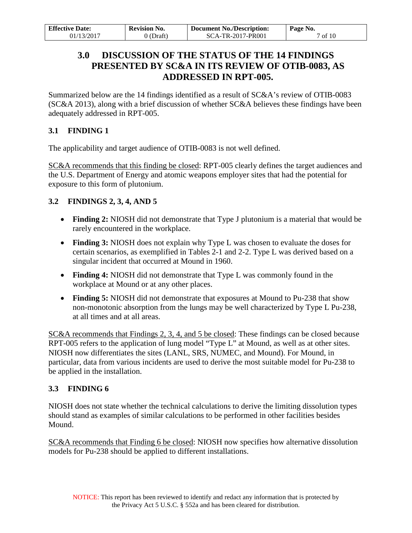<span id="page-6-0"></span>

| <b>Effective Date:</b> | <b>Revision No.</b> | <b>Document No./Description:</b> | Page No.     |
|------------------------|---------------------|----------------------------------|--------------|
| 01/13/2017             | (Draft)             | SCA-TR-2017-PR001                | $\circ$ f 10 |

# **3.0 DISCUSSION OF THE STATUS OF THE 14 FINDINGS PRESENTED BY SC&A IN ITS REVIEW OF OTIB-0083, AS ADDRESSED IN RPT-005.**

Summarized below are the 14 findings identified as a result of SC&A's review of OTIB-0083 (SC&A 2013), along with a brief discussion of whether SC&A believes these findings have been adequately addressed in RPT-005.

## <span id="page-6-1"></span>**3.1 FINDING 1**

The applicability and target audience of OTIB-0083 is not well defined.

SC&A recommends that this finding be closed: RPT-005 clearly defines the target audiences and the U.S. Department of Energy and atomic weapons employer sites that had the potential for exposure to this form of plutonium.

## <span id="page-6-2"></span>**3.2 FINDINGS 2, 3, 4, AND 5**

- **Finding 2:** NIOSH did not demonstrate that Type J plutonium is a material that would be rarely encountered in the workplace.
- **Finding 3:** NIOSH does not explain why Type L was chosen to evaluate the doses for certain scenarios, as exemplified in Tables 2-1 and 2-2. Type L was derived based on a singular incident that occurred at Mound in 1960.
- **Finding 4:** NIOSH did not demonstrate that Type L was commonly found in the workplace at Mound or at any other places.
- **Finding 5:** NIOSH did not demonstrate that exposures at Mound to Pu-238 that show non-monotonic absorption from the lungs may be well characterized by Type L Pu-238, at all times and at all areas.

SC&A recommends that Findings 2, 3, 4, and 5 be closed: These findings can be closed because RPT-005 refers to the application of lung model "Type L" at Mound, as well as at other sites. NIOSH now differentiates the sites (LANL, SRS, NUMEC, and Mound). For Mound, in particular, data from various incidents are used to derive the most suitable model for Pu-238 to be applied in the installation.

## <span id="page-6-3"></span>**3.3 FINDING 6**

NIOSH does not state whether the technical calculations to derive the limiting dissolution types should stand as examples of similar calculations to be performed in other facilities besides Mound.

SC&A recommends that Finding 6 be closed: NIOSH now specifies how alternative dissolution models for Pu-238 should be applied to different installations.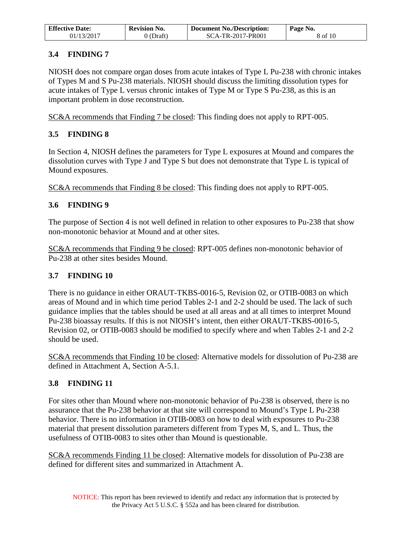| <b>Effective Date:</b> | Revision No. | <b>Document No./Description:</b> | Page No. |
|------------------------|--------------|----------------------------------|----------|
| 01/13/2017             | ) (Draft)    | SCA-TR-2017-PR001                | 8 of 10  |

### <span id="page-7-0"></span>**3.4 FINDING 7**

NIOSH does not compare organ doses from acute intakes of Type L Pu-238 with chronic intakes of Types M and S Pu-238 materials. NIOSH should discuss the limiting dissolution types for acute intakes of Type L versus chronic intakes of Type M or Type S Pu-238, as this is an important problem in dose reconstruction.

SC&A recommends that Finding 7 be closed: This finding does not apply to RPT-005.

### <span id="page-7-1"></span>**3.5 FINDING 8**

In Section 4, NIOSH defines the parameters for Type L exposures at Mound and compares the dissolution curves with Type J and Type S but does not demonstrate that Type L is typical of Mound exposures.

SC&A recommends that Finding 8 be closed: This finding does not apply to RPT-005.

### <span id="page-7-2"></span>**3.6 FINDING 9**

The purpose of Section 4 is not well defined in relation to other exposures to Pu-238 that show non-monotonic behavior at Mound and at other sites.

SC&A recommends that Finding 9 be closed: RPT-005 defines non-monotonic behavior of Pu-238 at other sites besides Mound.

### <span id="page-7-3"></span>**3.7 FINDING 10**

There is no guidance in either ORAUT-TKBS-0016-5, Revision 02, or OTIB-0083 on which areas of Mound and in which time period Tables 2-1 and 2-2 should be used. The lack of such guidance implies that the tables should be used at all areas and at all times to interpret Mound Pu-238 bioassay results. If this is not NIOSH's intent, then either ORAUT-TKBS-0016-5, Revision 02, or OTIB-0083 should be modified to specify where and when Tables 2-1 and 2-2 should be used.

SC&A recommends that Finding 10 be closed: Alternative models for dissolution of Pu-238 are defined in Attachment A, Section A-5.1.

### <span id="page-7-4"></span>**3.8 FINDING 11**

For sites other than Mound where non-monotonic behavior of Pu-238 is observed, there is no assurance that the Pu-238 behavior at that site will correspond to Mound's Type L Pu-238 behavior. There is no information in OTIB-0083 on how to deal with exposures to Pu-238 material that present dissolution parameters different from Types M, S, and L. Thus, the usefulness of OTIB-0083 to sites other than Mound is questionable.

SC&A recommends Finding 11 be closed: Alternative models for dissolution of Pu-238 are defined for different sites and summarized in Attachment A.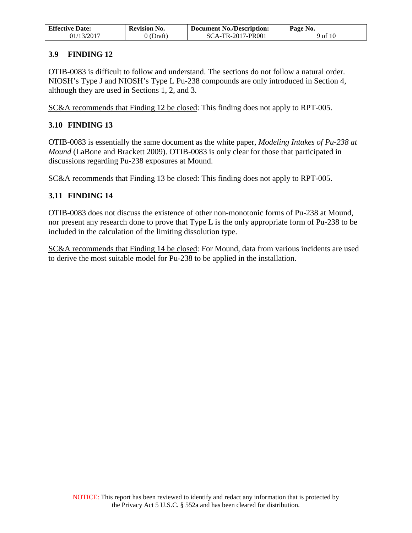| <b>Effective Date:</b> | <b>Revision No.</b> | <b>Document No./Description:</b> | Page No. |
|------------------------|---------------------|----------------------------------|----------|
| 01/13/2017             | ) (Draft)           | SCA-TR-2017-PR001                | 9 of 10  |

### <span id="page-8-0"></span>**3.9 FINDING 12**

OTIB-0083 is difficult to follow and understand. The sections do not follow a natural order. NIOSH's Type J and NIOSH's Type L Pu-238 compounds are only introduced in Section 4, although they are used in Sections 1, 2, and 3.

SC&A recommends that Finding 12 be closed: This finding does not apply to RPT-005.

### <span id="page-8-1"></span>**3.10 FINDING 13**

OTIB-0083 is essentially the same document as the white paper, *Modeling Intakes of Pu-238 at Mound* (LaBone and Brackett 2009). OTIB-0083 is only clear for those that participated in discussions regarding Pu-238 exposures at Mound.

SC&A recommends that Finding 13 be closed: This finding does not apply to RPT-005.

## <span id="page-8-2"></span>**3.11 FINDING 14**

OTIB-0083 does not discuss the existence of other non-monotonic forms of Pu-238 at Mound, nor present any research done to prove that Type L is the only appropriate form of Pu-238 to be included in the calculation of the limiting dissolution type.

SC&A recommends that Finding 14 be closed: For Mound, data from various incidents are used to derive the most suitable model for Pu-238 to be applied in the installation.